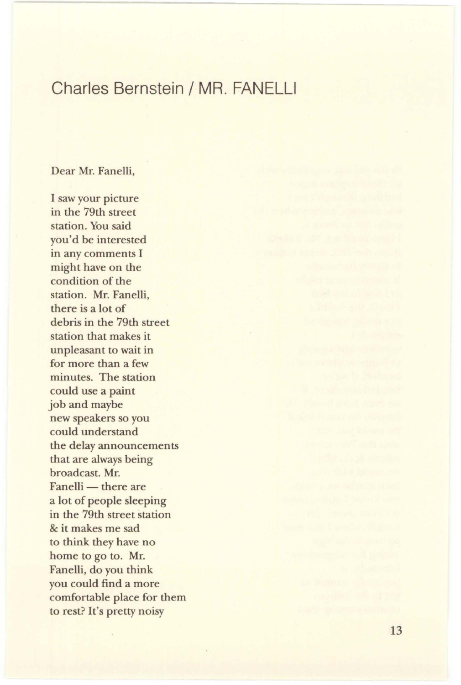## Charles Bernstein / MR. FANELLI

## Dear Mr. Fanelli,

I saw your picture in the 79th street station. You said you'd be interested in any comments I might have on the condition of the station. Mr. Fanelli, there is a lot of debris in the 79th street station that makes it unpleasant to wait in for more than a few minutes. The station could use a paint job and maybe new speakers so you could understand the delay announcements that are always being broadcast. Mr. Fanelli — there are a lot of people sleeping in the 79th street station & it makes me sad to think they have no home to go to. Mr. Fanelli, do you think you could find a more comfortable place for them to rest? It's pretty noisy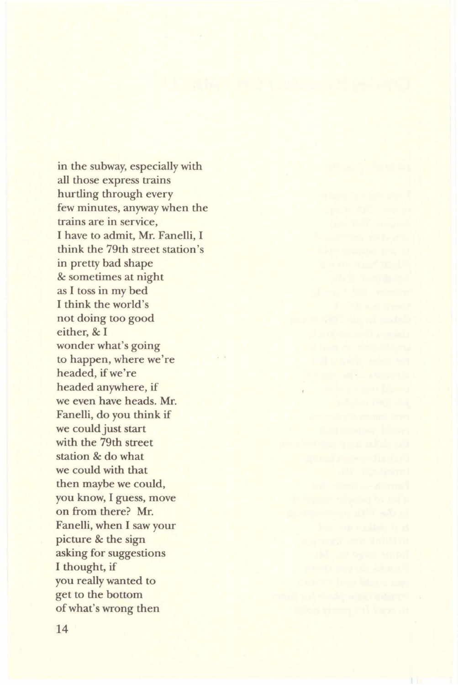in the subway, especially with all those express trains hurtling through every few minutes, anyway when the trains are in service, I have to admit, Mr. Fanelli, I think the 79th street station's in pretty bad shape & sometimes at night as I toss in my bed I think the world's not doing too good either, & I wonder what's going to happen, where we're headed, if we're headed anywhere, if we even have heads. Mr. Fanelli, do you think if we could just start with the 79th street station & do what we could with that then maybe we could, you know, I guess, move on from there? Mr. Fanelli, when I saw your picture & the sign asking for suggestions I thought, if you really wanted to get to the bottom of what's wrong then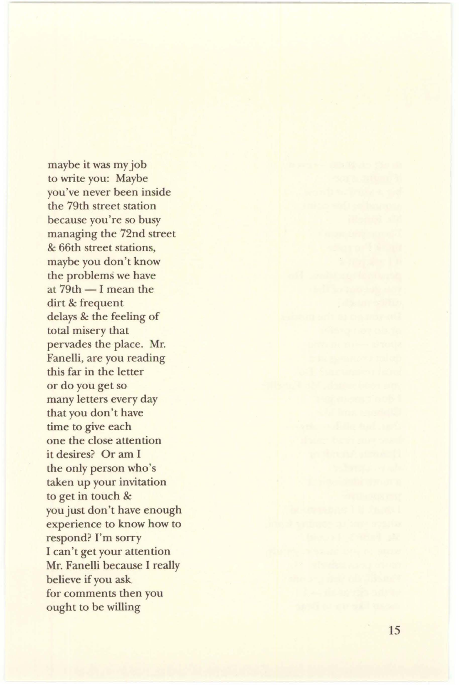maybe it was my job to write you: Maybe you've never been inside the 79th street station because you're so busy managing the 72nd street & 66th street stations, maybe you don't know the problems we have at  $79th - I$  mean the dirt & frequent delays & the feeling of total misery that pervades the place. Mr. Fanelli, are you read ing this far in the letter or do you get so many letters every day that you don't have time to give each one the close attention it desires? Or am I the only person who 's taken up your invitation to get in touch & you just don 't have enough experience to know how to respond? I'm sorry I can't get your attention Mr. Fanelli because I really believe if you ask. for comments then you ought to be willing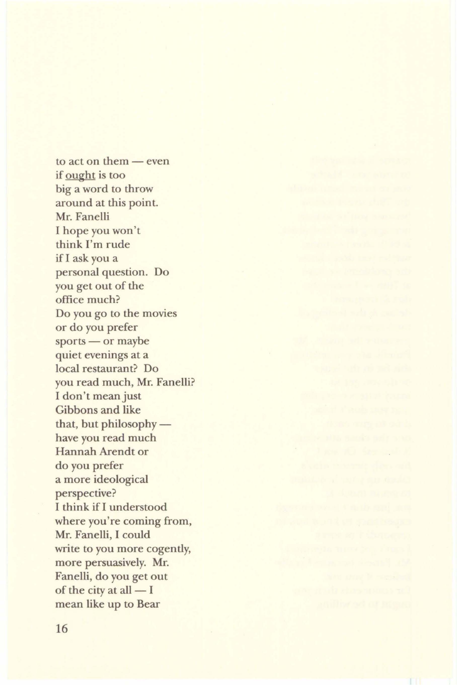to act on them  $-$  even if ought is too big a word to throw around at this point. Mr. Fanelli I hope you won't think I'm rude if I ask you a personal question. Do you get out of the office much? Do you go to the movies or do you prefer sports - or maybe quiet evenings at a local restaurant? Do you read much, Mr. Fanelli? I don't mean just Gibbons and like that, but philosophy $$ have you read much Hannah Arendt or do you prefer a more ideological perspective? I think if I understood where you're coming from, Mr. Fanelli, I could write to you more cogently, more persuasively. Mr. Fanelli, do you get out of the city at all  $- I$ mean like up to Bear

**All the collat**